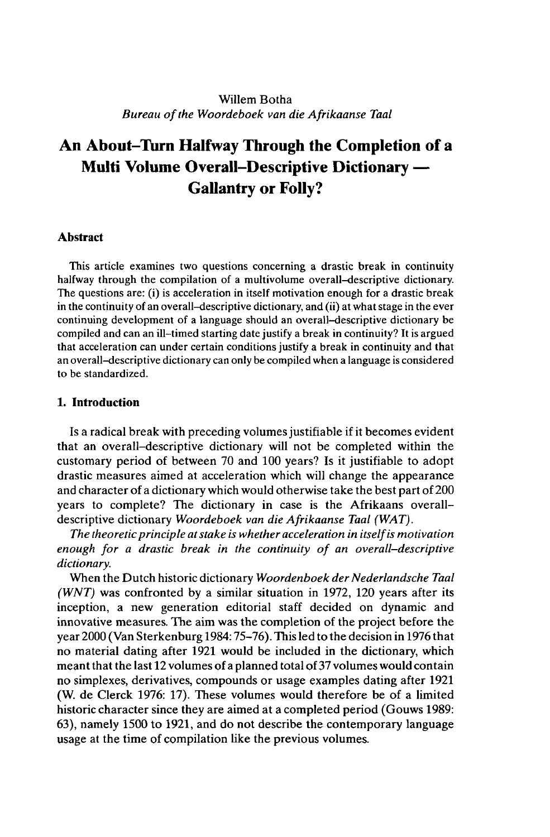# Willem Botha *Bureau ofthe Woordeboek van die Afrikaanse Taal*

# **An About-Turn Halfway Through the Completion of a Multi Volume Overall-Descriptive Dictionary • Gallantry or Folly?**

# **Abstract**

This article examines two questions concerning a drastic break in continuity halfway through the compilation of a multivolume overall-descriptive dictionary. The questions are: (i) is acceleration in itself motivation enough for a drastic break in the continuity of an overall-descriptive dictionary, and (ii) at what stage in the ever continuing development of a language should an overall-descriptive dictionary be compiled and can an ill-timed starting date justify a break in continuity? It is argued that acceleration can under certain conditions justify a break in continuity and that an overall-descriptive dictionary can only be compiled when a language is considered to be standardized.

# **1. Introduction**

Is a radical break with preceding volumes justifiable if it becomes evident that an overall-descriptive dictionary will not be completed within the customary period of between 70 and 100 years? Is it justifiable to adopt drastic measures aimed at acceleration which will change the appearance and character of a dictionary which would otherwise take the best part of 200 years to complete? The dictionary in case is the Afrikaans overalldescriptive dictionary *Woordeboek van die Afrikaanse Taal (WAT).*

*The theoreticprinciple atstake is whether acceleration in itselfis motivation enough for a drastic break in the continuity of an overall-descriptive dictionary.*

When the Dutch historic dictionary *Woordenboek der Nederlandsche Taal (WNT)* was confronted by a similar situation in 1972, 120 years after its inception, a new generation editorial staff decided on dynamic and innovative measures. The aim was the completion of the project before the year 2000 (Van Sterkenburg 1984:75-76). This led to the decision in 1976 that no material dating after 1921 would be included in the dictionary, which meant that the last 12 volumes of a planned total of 37 volumes would contain no simplexes, derivatives, compounds or usage examples dating after 1921 (W. de Clerck 1976: 17). These volumes would therefore be of a limited historic character since they are aimed at a completed period (Gouws 1989: 63), namely 1500 to 1921, and do not describe the contemporary language usage at the time of compilation like the previous volumes.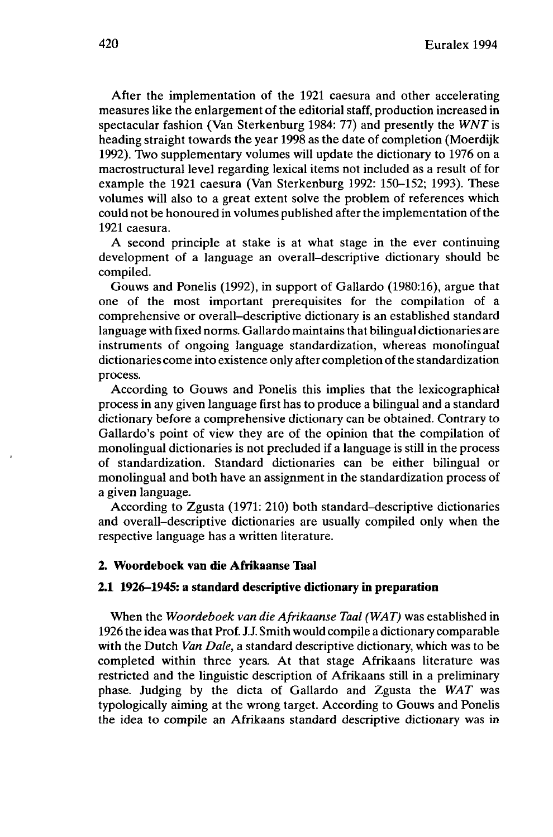After the implementation of the 1921 caesura and other accelerating measures like the enlargement of the editorial staff, production increased in spectacular fashion (Van Sterkenburg 1984: 77) and presently the *WNT* is heading straight towards the year 1998 as the date of completion (Moerdijk 1992). Two supplementary volumes will update the dictionary to 1976 on a macrostructural level regarding lexical items not included as a result of for example the 1921 caesura (Van Sterkenburg 1992: 150-152; 1993). These volumes will also to a great extent solve the problem of references which could not be honoured in volumes published after the implementation of the 1921 caesura.

A second principle at stake is at what stage in the ever continuing development of a language an overall-descriptive dictionary should be compiled.

Gouws and Ponelis (1992), in support of Gallardo (1980:16), argue that one of the most important prerequisites for the compilation of a comprehensive or overall-descriptive dictionary is an established standard language with fixed norms. Gallardo maintains that bilingual dictionaries are instruments of ongoing language standardization, whereas monolingual dictionaries come into existence only after completion of the standardization process.

According to Gouws and Ponelis this implies that the lexicographical process in any given language first has to produce a bilingual and a standard dictionary before a comprehensive dictionary can be obtained. Contrary to Gallardo's point of view they are of the opinion that the compilation of monolingual dictionaries is not precluded if a language is still in the process of standardization. Standard dictionaries can be either bilingual or monolingual and both have an assignment in the standardization process of a given language.

According to Zgusta (1971: 210) both standard-descriptive dictionaries and overall-descriptive dictionaries are usually compiled only when the respective language has a written literature.

## **2. Woordeboek van die Afrikaanse Taal**

#### **2.1 1926-1945: a standard descriptive dictionary in preparation**

When the *Woordeboek van die Afrikaanse Taal (WAT)* was established in 1926 the idea wasthat Prof. J.J. Smith would compile a dictionary comparable with the Dutch *Van Dale,* a standard descriptive dictionary, which was to be completed within three years. At that stage Afrikaans literature was restricted and the linguistic description of Afrikaans still in a preliminary phase. Judging by the dicta of Gallardo and Zgusta the *WAT* was typologically aiming at the wrong target. According to Gouws and Ponelis the idea to compile an Afrikaans standard descriptive dictionary was in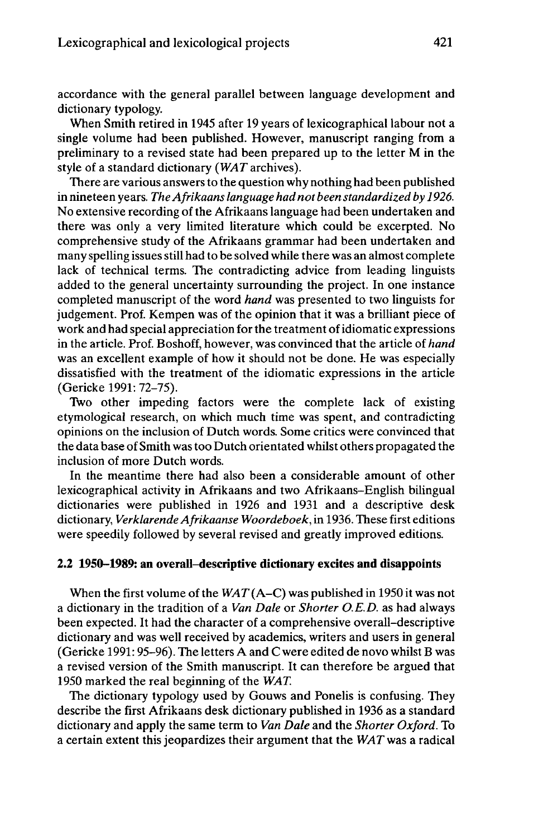accordance with the general parallel between language development and dictionary typology.

When Smith retired in 1945 after 19 years of lexicographical labour not a single volume had been published. However, manuscript ranging from a preliminary to a revised state had been prepared up to the letter M in the style of a standard dictionary *(WAT*archives).

There are various answers to the question why nothing had been published in nineteen years. *TheAfrikaanslanguage had not been standardized by 1926.* No extensive recording of the Afrikaans language had been undertaken and there was only a very limited literature which could be excerpted. No comprehensive study of the Afrikaans grammar had been undertaken and many spelling issues still had to be solved while there was an almost complete lack of technical terms. The contradicting advice from leading linguists added to the general uncertainty surrounding the project. In one instance completed manuscript of the word *hand* was presented to two linguists for judgement. Prof. Kempen was of the opinion that it was a brilliant piece of work and had special appreciation for the treatment of idiomatic expressions in the article. Prof. Boshoff, however, was convinced that the article of *hand* was an excellent example of how it should not be done. He was especially dissatisfied with the treatment of the idiomatic expressions in the article (Gericke 1991: 72-75).

Two other impeding factors were the complete lack of existing etymological research, on which much time was spent, and contradicting opinions on the inclusion of Dutch words. Some critics were convinced that the data base of Smith wastoo Dutch orientated whilst others propagated the inclusion of more Dutch words.

In the meantime there had also been a considerable amount of other lexicographical activity in Afrikaans and two Afrikaans-English bilingual dictionaries were published in 1926 and 1931 and a descriptive desk dictionary, *VerklärendeAfrikaanse Woordeboek,* in 1936. These first editions were speedily followed by several revised and greatly improved editions.

## **2.2 1950-1989: an overall-descriptive dictionary excites and disappoints**

When the first volume of the *WAT* (A–C) was published in 1950 it was not a dictionary in the tradition of a *Van Dale* or *Shorter O.E.D.* as had always been expected. It had the character of a comprehensive overall-descriptive dictionary and was well received by academics, writers and users in general (Gericke 1991:95-96). The letters A and C were edited de novo whilst B was a revised version of the Smith manuscript. It can therefore be argued that 1950 marked the real beginning of the *WAT.*

The dictionary typology used by Gouws and Ponelis is confusing. They describe the first Afrikaans desk dictionary published in 1936 as a standard dictionary and apply the same term to *Van Dale* and the *Shorter Oxford.* To a certain extent this jeopardizes their argument that the *WAT* was a radical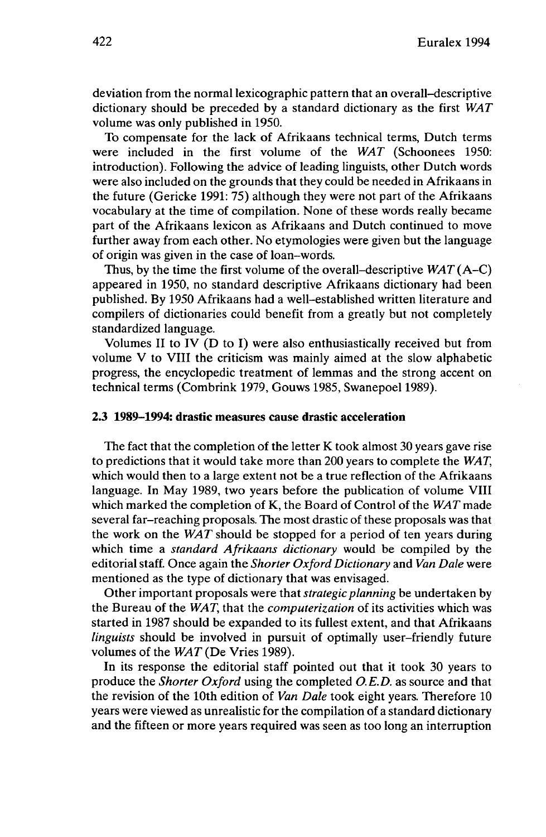deviation from the normal lexicographic pattern that an overall-descriptive dictionary should be preceded by a standard dictionary as the first *WAT* volume was only published in 1950.

To compensate for the lack of Afrikaans technical terms, Dutch terms were included in the first volume of the *WAT* (Schoonees 1950: introduction). Following the advice of leading linguists, other Dutch words were also included on the grounds that they could be needed in Afrikaans in the future (Gericke 1991: 75) although they were not part of the Afrikaans vocabulary at the time of compilation. None of these words really became part of the Afrikaans lexicon as Afrikaans and Dutch continued to move further away from each other. No etymologies were given but the language of origin was given in the case of loan-words.

Thus, by the time the first volume of the overall-descriptive *WAT*(A-C) appeared in 1950, no standard descriptive Afrikaans dictionary had been published. By 1950 Afrikaans had a well-established written literature and compilers of dictionaries could benefit from a greatly but not completely standardized language.

Volumes II to IV (D to I) were also enthusiastically received but from volume V to VIII the criticism was mainly aimed at the slow alphabetic progress, the encyclopedic treatment of lemmas and the strong accent on technical terms (Combrink 1979, Gouws 1985, Swanepoel 1989).

# **2.3 1989-1994: drastic measures cause drastic acceleration**

The fact that the completion of the letter K took almost 30 years gave rise to predictions that it would take more than 200 years to complete the *WAT,* which would then to a large extent not be a true reflection of the Afrikaans language. In May 1989, two years before the publication of volume VIII which marked the completion of K, the Board of Control of the *WAT* made several far-reaching proposals. The most drastic of these proposals was that the work on the *WAT* should be stopped for a period of ten years during which time a *standard Afrikaans dictionary* would be compiled by the editorial staff. Once again the *Shorter Oxford Dictionary* and *Van Dale* were mentioned as the type of dictionary that was envisaged.

Other important proposals were that *strategic planning* be undertaken by the Bureau of the *WAT,* that the *computerization* of its activities which was started in 1987 should be expanded to its fullest extent, and that Afrikaans *linguists* should be involved in pursuit of optimally user-friendly future volumes of the *WAT* (De Vries 1989).

In its response the editorial staff pointed out that it took 30 years to produce the *Shorter Oxford* using the completed *O.E.D.* as source and that the revision of the 10th edition of *Van Dale* took eight years. Therefore 10 years were viewed as unrealistic for the compilation of a standard dictionary and the fifteen or more years required was seen as too long an interruption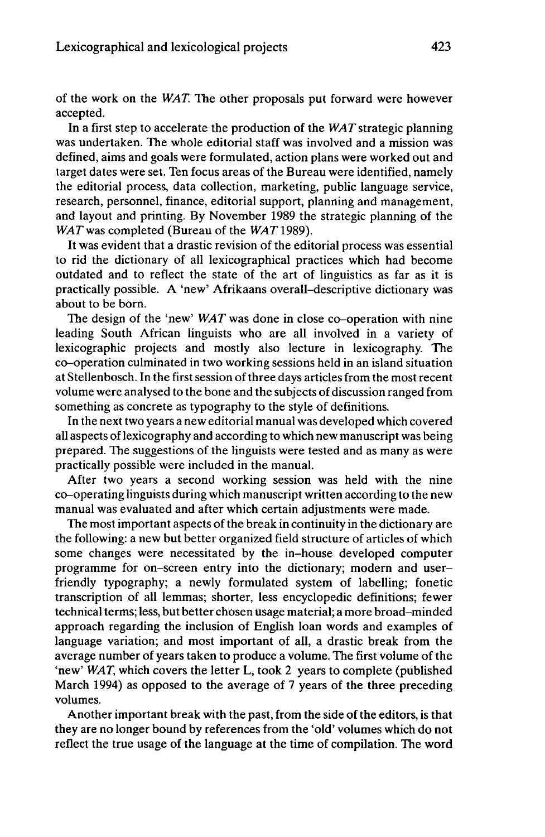of the work on the *WAT.* The other proposals put forward were however accepted.

In a first step to accelerate the production of the *WAT*strategic planning was undertaken. The whole editorial staff was involved and a mission was defined, aims and goals were formulated, action plans were worked out and target dates were set. Ten focus areas of the Bureau were identified, namely the editorial process, data collection, marketing, public language service, research, personnel, finance, editorial support, planning and management, and layout and printing. By November 1989 the strategic planning of the *WAT* was completed (Bureau of the *WAT* 1989).

It was evident that a drastic revision of the editorial process was essential to rid the dictionary of all lexicographical practices which had become outdated and to reflect the state of the art of linguistics as far as it is practically possible. A 'new' Afrikaans overall-descriptive dictionary was about to be born.

The design of the 'new' *WAT* was done in close co-operation with nine leading South African linguists who are all involved in a variety of lexicographic projects and mostly also lecture in lexicography. The co-operation culminated in two working sessions held in an island situation at Stellenbosch. In the first session of three days articles from the most recent volume were analysed to the bone and the subjects of discussion ranged from something as concrete as typography to the style of definitions.

In the next two years a new editorial manual was developed which covered all aspects oflexicography and according to which new manuscript was being prepared. The suggestions of the linguists were tested and as many as were practically possible were included in the manual.

After two years a second working session was held with the nine co-operating linguists during which manuscript written according to the new manual was evaluated and after which certain adjustments were made.

The most important aspects of the break in continuity in the dictionary are the following: a new but better organized field structure of articles of which some changes were necessitated by the in-house developed computer programme for on-screen entry into the dictionary; modern and userfriendly typography; a newly formulated system of labelling; fonetic transcription of all lemmas; shorter, less encyclopedic definitions; fewer technical terms; less, but better chosen usage material; a more broad-minded approach regarding the inclusion of English loan words and examples of language variation; and most important of all, a drastic break from the average number of years taken to produce a volume. The first volume of the 'new' *WAT,* which covers the letter L, took 2 years to complete (published March 1994) as opposed to the average of 7 years of the three preceding volumes.

Another important break with the past, from the side of the editors, is that they are no longer bound by references from the 'old' volumes which do not reflect the true usage of the language at the time of compilation. The word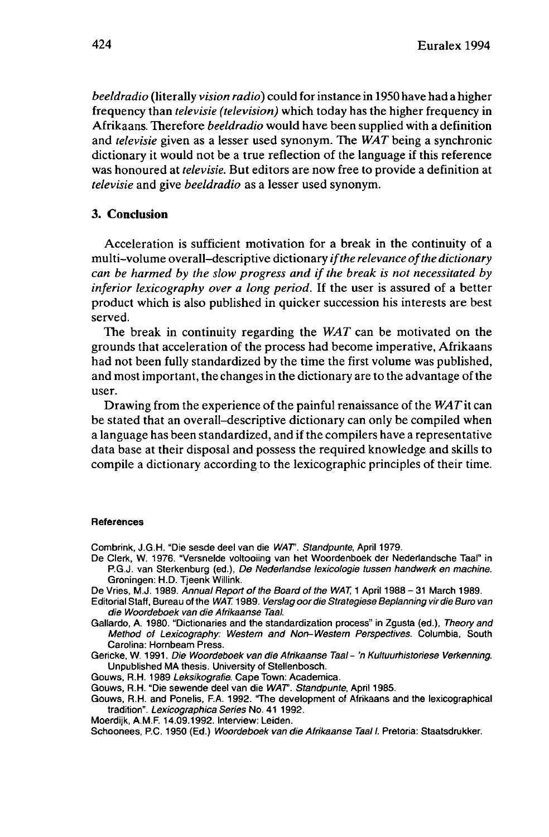*beeldradio* (literally *vision radio)* could forinstance in 1950 have had a higher frequency than *televisie (television)* which today has the higher frequency in Afrikaans. Therefore *beeldradio* would have been supplied with a definition and *televisie* given as a lesser used synonym. The *WAT* being a synchronic dictionary it would not be a true reflection of the language if this reference was honoured at *televisie.* But editors are now free to provide a definition at *televisie* and give *beeldradio* as a lesser used synonym.

# **3. Conclusion**

Acceleration is sufficient motivation for a break in the continuity of a multi-volume overall-descriptive dictionary *ifthe relevance ofthe dictionary can be harmed by the slow progress and ifthe break is not necessitated by inferior lexicography over a long period.* If the user is assured of a better product which is also published in quicker succession his interests are best served.

The break in continuity regarding the *WAT* can be motivated on the grounds that acceleration of the process had become imperative, Afrikaans had not been fully standardized by the time the first volume was published, and most important, the changes in the dictionary are to the advantage of the user.

Drawing from the experience of the painful renaissance of the *WAT*it can be stated that an overall-descriptive dictionary can only be compiled when a language has been standardized, and ifthe compilers have a representative data base at their disposal and possess the required knowledge and skills to compile a dictionary according to the lexicographic principles of their time.

#### **References**

Combrink, J.G.H. "Die sesde deel van die WAT. Standpunte, April 1979.

- De Clerk, W. 1976. "Versnelde voltooiing van het Woordenboek der Nederlandsche Taal" in P.G.J, van Sterkenburg (ed.), De Nederlandse lexicologie tussen handwerk en machine. Groningen: H.D. Tjeenk Willink.
- De Vries, M.J. 1989. Annual Report of the Board of the WAT, 1 April 1988 31 March 1989.
- Editorial Staff, Bureau of the WAT. 1989. Verslag oor die Strategiese Beplanning vir die Buro van die Woordeboek van die Afrikaanse Taal.
- Gallardo, A. 1980. "Dictionaries and the standardization process" in Zgusta (ed.), Theory and Method of Lexicography: Western and Non-Western Perspectives. Columbia, South Carolina: Hornbeam Press.
- Gericke, W. 1991. Die Woordeboek van die Afrikaanse Taal- 'n Kultuurhistoriese Verkenning. Unpublished MA thesis. University of Stellenbosch.
- Gouws, R.H. 1989 Leksikografie. Cape Town: Academica.
- Gouws, R.H. "Die sewende deel van die WAT. Standpunte, April 1985.
- Gouws, R.H. and Ponelis, F.A. 1992. "The development of Afrikaans and the lexicographical tradition". Lexicographies Series No. 41 1992.
- Moerdijk, A.M.F. 14.09.1992. Interview: Leiden.
- Schoonees, P.C. 1950 (Ed.) Woordeboek van die Afrikaanse Taal I. Pretoria: Staatsdrukker.